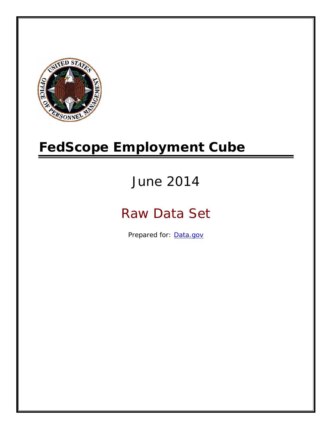

# **FedScope Employment Cube**

# June 2014

# Raw Data Set

Prepared for: [Data.gov](http://www.data.gov/)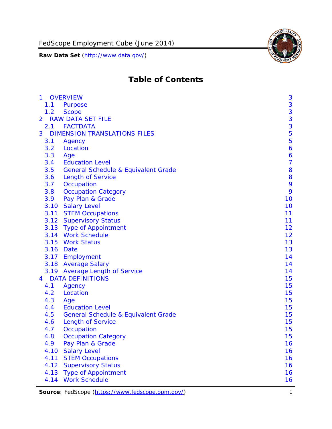

# **Table of Contents**

| $\mathbf{1}$   |      | <b>OVERVIEW</b>                                | 3              |
|----------------|------|------------------------------------------------|----------------|
|                | 1.1  | <b>Purpose</b>                                 | 3              |
|                | 1.2  | <b>Scope</b>                                   | 3              |
| $\overline{2}$ |      | <b>RAW DATA SET FILE</b>                       | 3              |
|                |      | 2.1 FACTDATA                                   | 3              |
| 3              |      | <b>DIMENSION TRANSLATIONS FILES</b>            | 5              |
|                | 3.1  | Agency                                         | 5              |
|                | 3.2  | Location                                       | 6              |
|                | 3.3  | Age                                            | 6              |
|                | 3.4  | <b>Education Level</b>                         | $\overline{7}$ |
|                | 3.5  | <b>General Schedule &amp; Equivalent Grade</b> | 8              |
|                | 3.6  | <b>Length of Service</b>                       | 8              |
|                | 3.7  | Occupation                                     | 9              |
|                | 3.8  | <b>Occupation Category</b>                     | 9              |
|                | 3.9  | Pay Plan & Grade                               | 10             |
|                | 3.10 | <b>Salary Level</b>                            | 10             |
|                |      | 3.11 STEM Occupations                          | 11             |
|                |      | 3.12 Supervisory Status                        | 11             |
|                |      | 3.13 Type of Appointment                       | 12             |
|                |      | 3.14 Work Schedule                             | 12             |
|                | 3.15 | <b>Work Status</b>                             | 13             |
|                |      | 3.16 Date                                      | 13             |
|                |      | 3.17 Employment                                | 14             |
|                |      | 3.18 Average Salary                            | 14             |
|                |      | 3.19 Average Length of Service                 | 14             |
| $\overline{4}$ |      | <b>DATA DEFINITIONS</b>                        | 15             |
|                | 4.1  | Agency                                         | 15             |
|                | 4.2  | Location                                       | 15             |
|                | 4.3  | Age                                            | 15             |
|                | 4.4  | <b>Education Level</b>                         | 15             |
|                | 4.5  | <b>General Schedule &amp; Equivalent Grade</b> | 15             |
|                | 4.6  | <b>Length of Service</b>                       | 15             |
|                | 4.7  | Occupation                                     | 15             |
|                | 4.8  | <b>Occupation Category</b>                     | 15             |
|                | 4.9  | Pay Plan & Grade                               | 16             |
|                | 4.10 | <b>Salary Level</b>                            | 16             |
|                | 4.11 | <b>STEM Occupations</b>                        | 16             |
|                | 4.12 | <b>Supervisory Status</b>                      | 16             |
|                | 4.13 | <b>Type of Appointment</b>                     | 16             |
|                | 4.14 | <b>Work Schedule</b>                           | 16             |

**Source**: FedScope (https://www.fedscope.opm.gov/) 1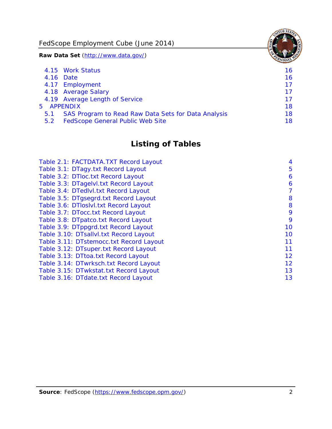FedScope Employment Cube (June 2014)

**Raw Data Set** (http://www.data.gov/)

|               | 4.15 Work Status                                    | 16 |
|---------------|-----------------------------------------------------|----|
|               | 4.16 Date                                           | 16 |
|               | 4.17 Employment                                     | 17 |
|               | 4.18 Average Salary                                 | 17 |
|               | 4.19 Average Length of Service                      | 17 |
|               | 5 APPENDIX                                          | 18 |
| 5.1           | SAS Program to Read Raw Data Sets for Data Analysis | 18 |
| $5.2^{\circ}$ | <b>FedScope General Public Web Site</b>             | 18 |

# **Listing of Tables**

| Table 2.1: FACTDATA.TXT Record Layout   | 4  |
|-----------------------------------------|----|
| Table 3.1: DTagy.txt Record Layout      | 5  |
| Table 3.2: DTloc.txt Record Layout      | 6  |
| Table 3.3: DTagelvl.txt Record Layout   | 6  |
| Table 3.4: DTedlvl.txt Record Layout    | 7  |
| Table 3.5: DTgsegrd.txt Record Layout   | 8  |
| Table 3.6: DTIoslyl.txt Record Layout   | 8  |
| Table 3.7: DTocc.txt Record Layout      | 9  |
| Table 3.8: DTpatco.txt Record Layout    | 9  |
| Table 3.9: DTppgrd.txt Record Layout    | 10 |
| Table 3.10: DTsallvl.txt Record Layout  | 10 |
| Table 3.11: DTstemocc.txt Record Layout | 11 |
| Table 3.12: DTsuper.txt Record Layout   | 11 |
| Table 3.13: DTtoa.txt Record Layout     | 12 |
| Table 3.14: DTwrksch.txt Record Layout  | 12 |
| Table 3.15: DTwkstat.txt Record Layout  | 13 |
| Table 3.16: DTdate.txt Record Layout    | 13 |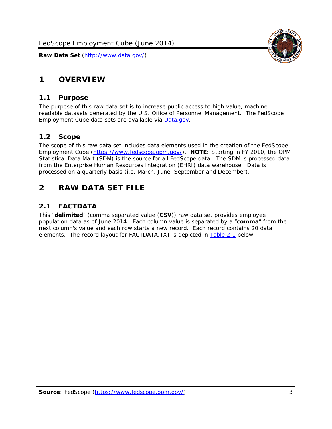

# <span id="page-3-0"></span>**1 OVERVIEW**

#### *1.1 Purpose*

<span id="page-3-1"></span>The purpose of this raw data set is to increase public access to high value, machine readable datasets generated by the U.S. Office of Personnel Management. The FedScope Employment Cube data sets are available via [Data.gov](http://www.data.gov/).

#### <span id="page-3-2"></span>*1.2 Scope*

The scope of this raw data set includes data elements used in the creation of the FedScope Employment Cube [\(https://www.fedscope.opm.gov/\)](https://www.fedscope.opm.gov/). **NOTE**: Starting in FY 2010, the OPM Statistical Data Mart (SDM) is the source for all FedScope data. The SDM is processed data from the Enterprise Human Resources Integration (EHRI) data warehouse. Data is processed on a quarterly basis (i.e. March, June, September and December).

# <span id="page-3-3"></span>**2 RAW DATA SET FILE**

## <span id="page-3-4"></span>*2.1 FACTDATA*

This "**delimited**" (comma separated value (**CSV**)) raw data set provides employee population data as of June 2014. Each column value is separated by a "**comma**" from the next column's value and each row starts a new record. Each record contains 20 data elements. The record layout for FACTDATA.TXT is depicted in [Table 2.1](#page-4-1) below: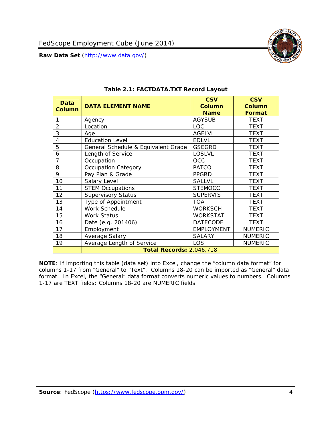<span id="page-4-1"></span><span id="page-4-0"></span>

**NOTE**: If importing this table (data set) into Excel, change the "column data format" for columns 1-17 from "General" to "Text". Columns 18-20 can be imported as "General" data format. In Excel, the "General" data format converts numeric values to numbers. Columns 1-17 are TEXT fields; Columns 18-20 are NUMERIC fields.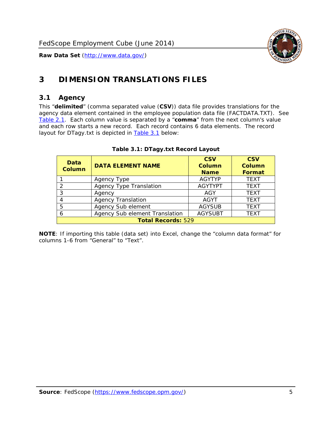

# <span id="page-5-0"></span>**3 DIMENSION TRANSLATIONS FILES**

#### <span id="page-5-1"></span>*3.1 Agency*

<span id="page-5-3"></span><span id="page-5-2"></span>This "**delimited**" (comma separated value (**CSV**)) data file provides translations for the agency data element contained in the employee population data file (FACTDATA.TXT). See [Table 2.1.](#page-4-1) Each column value is separated by a "**comma**" from the next column's value and each row starts a new record. Each record contains 6 data elements. The record layout for DTagy.txt is depicted in **Table 3.1** below:

| Data<br><b>Column</b>     | <b>DATA ELEMENT NAME</b>       | <b>CSV</b><br><b>Column</b><br><b>Name</b> | <b>CSV</b><br>Column<br><b>Format</b> |
|---------------------------|--------------------------------|--------------------------------------------|---------------------------------------|
|                           | Agency Type                    | <b>AGYTYP</b>                              | <b>TEXT</b>                           |
| 2                         | <b>Agency Type Translation</b> | <b>AGYTYPT</b>                             | <b>TEXT</b>                           |
| 3                         | Agency                         | AGY                                        | <b>TEXT</b>                           |
|                           | <b>Agency Translation</b>      | <b>AGYT</b>                                | <b>TEXT</b>                           |
| -5                        | Agency Sub element             | <b>AGYSUB</b>                              | <b>TEXT</b>                           |
|                           | Agency Sub element Translation | <b>AGYSUBT</b>                             | <b>TEXT</b>                           |
| <b>Total Records: 529</b> |                                |                                            |                                       |

#### **Table 3.1: DTagy.txt Record Layout**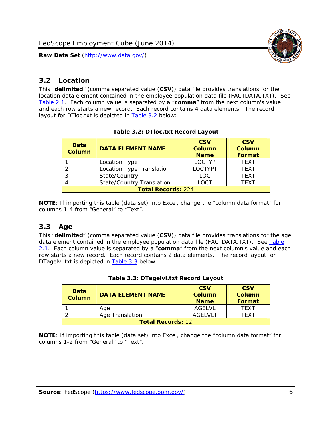

#### <span id="page-6-0"></span>*3.2 Location*

<span id="page-6-4"></span><span id="page-6-2"></span>This "**delimited**" (comma separated value (**CSV**)) data file provides translations for the location data element contained in the employee population data file (FACTDATA.TXT). See [Table 2.1.](#page-4-1) Each column value is separated by a "**comma**" from the next column's value and each row starts a new record. Each record contains 4 data elements. The record layout for DTloc.txt is depicted in [Table 3.2](#page-6-4) below:

| Data<br><b>Column</b>     | <b>DATA ELEMENT NAME</b>         | <b>CSV</b><br>Column<br><b>Name</b> | <b>CSV</b><br><b>Column</b><br><b>Format</b> |
|---------------------------|----------------------------------|-------------------------------------|----------------------------------------------|
|                           | Location Type                    | <b>LOCTYP</b>                       | <b>TEXT</b>                                  |
|                           | Location Type Translation        | <b>LOCTYPT</b>                      | <b>TEXT</b>                                  |
| ⌒                         | State/Country                    | <b>LOC</b>                          | <b>TFXT</b>                                  |
|                           | <b>State/Country Translation</b> | LOCT                                | <b>TFXT</b>                                  |
| <b>Total Records: 224</b> |                                  |                                     |                                              |

#### **Table 3.2: DTloc.txt Record Layout**

**NOTE**: If importing this table (data set) into Excel, change the "column data format" for columns 1-4 from "General" to "Text".

#### <span id="page-6-1"></span>*3.3 Age*

<span id="page-6-5"></span><span id="page-6-3"></span>This "**delimited**" (comma separated value (**CSV**)) data file provides translations for the age data element contained in the employee population data file (FACTDATA.TXT). See [Table](#page-4-1) [2.1](#page-4-1). Each column value is separated by a "**comma**" from the next column's value and each row starts a new record. Each record contains 2 data elements. The record layout for DTagelvl.txt is depicted in **[Table 3.3](#page-6-5)** below:

| Data<br>Column           | <b>DATA ELEMENT NAME</b> | <b>CSV</b><br>Column<br><b>Name</b> | <b>CSV</b><br>Column<br><b>Format</b> |
|--------------------------|--------------------------|-------------------------------------|---------------------------------------|
|                          | Aae                      | AGFI VI                             | TFXT                                  |
|                          | Age Translation          | AGFI VI T                           | TFXT                                  |
| <b>Total Records: 12</b> |                          |                                     |                                       |

#### **Table 3.3: DTagelvl.txt Record Layout**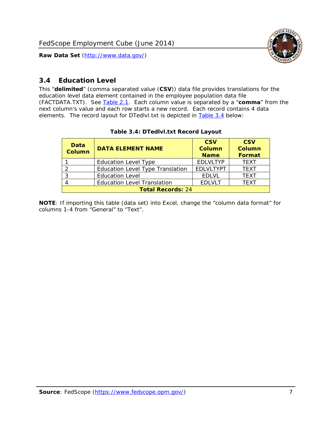

### <span id="page-7-0"></span>*3.4 Education Level*

<span id="page-7-2"></span><span id="page-7-1"></span>This "**delimited**" (comma separated value (**CSV**)) data file provides translations for the education level data element contained in the employee population data file (FACTDATA.TXT). See [Table 2.1](#page-4-1). Each column value is separated by a "**comma**" from the next column's value and each row starts a new record. Each record contains 4 data elements. The record layout for DTedlvl.txt is depicted in [Table 3.4](#page-7-2) below:

| Data<br><b>Column</b>    | <b>DATA ELEMENT NAME</b>           | <b>CSV</b><br><b>Column</b><br><b>Name</b> | <b>CSV</b><br><b>Column</b><br><b>Format</b> |
|--------------------------|------------------------------------|--------------------------------------------|----------------------------------------------|
|                          | <b>Education Level Type</b>        | <b>EDLVLTYP</b>                            | <b>TEXT</b>                                  |
|                          | Education Level Type Translation   | <b>EDLVLTYPT</b>                           | <b>TEXT</b>                                  |
|                          | <b>Education Level</b>             | <b>EDLVL</b>                               | <b>TEXT</b>                                  |
|                          | <b>Education Level Translation</b> | <b>EDLVLT</b>                              | <b>TEXT</b>                                  |
| <b>Total Records: 24</b> |                                    |                                            |                                              |

#### **Table 3.4: DTedlvl.txt Record Layout**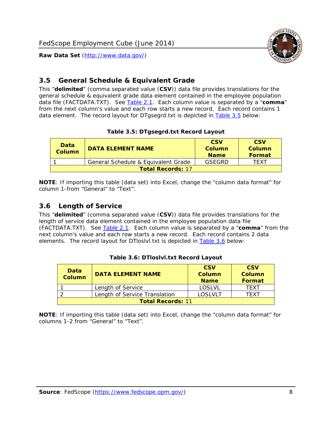

#### <span id="page-8-0"></span>*3.5 General Schedule & Equivalent Grade*

This "**delimited**" (comma separated value (**CSV**)) data file provides translations for the general schedule & equivalent grade data element contained in the employee population data file (FACTDATA.TXT). See [Table 2.1](#page-4-1). Each column value is separated by a "**comma**" from the next column's value and each row starts a new record. Each record contains 1 data element. The record layout for DTgsegrd.txt is depicted in [Table 3.5](#page-8-4) below:

#### **Table 3.5: DTgsegrd.txt Record Layout**

<span id="page-8-4"></span><span id="page-8-2"></span>

| Data<br>Column           | DATA FI FMFNT NAMF                  | <b>CSV</b><br>Column<br><b>Name</b> | <b>CSV</b><br>Column<br>Format |
|--------------------------|-------------------------------------|-------------------------------------|--------------------------------|
|                          | General Schedule & Equivalent Grade | GSEGRD                              | TFXT                           |
| <b>Total Records: 17</b> |                                     |                                     |                                |

**NOTE**: If importing this table (data set) into Excel, change the "column data format" for column 1-from "General" to "Text".

#### <span id="page-8-1"></span>*3.6 Length of Service*

<span id="page-8-5"></span>This "**delimited**" (comma separated value (**CSV**)) data file provides translations for the length of service data element contained in the employee population data file (FACTDATA.TXT). See [Table 2.1](#page-4-1). Each column value is separated by a "**comma**" from the next column's value and each row starts a new record. Each record contains 2 data elements. The record layout for DTloslvl.txt is depicted in [Table 3.6](#page-8-5) below:

<span id="page-8-3"></span>

| Data<br><b>Column</b>    | <b>DATA ELEMENT NAME</b>      | <b>CSV</b><br><b>Column</b><br><b>Name</b> | <b>CSV</b><br>Column<br>Format |
|--------------------------|-------------------------------|--------------------------------------------|--------------------------------|
|                          | Length of Service             | LOSLVL                                     | TFXT                           |
|                          | Length of Service Translation | LOSI VLT                                   | TFXT                           |
| <b>Total Records: 11</b> |                               |                                            |                                |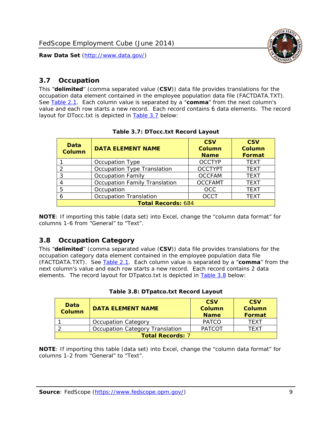

#### <span id="page-9-0"></span>*3.7 Occupation*

<span id="page-9-4"></span>This "**delimited**" (comma separated value (**CSV**)) data file provides translations for the occupation data element contained in the employee population data file (FACTDATA.TXT). See [Table 2.1](#page-4-1). Each column value is separated by a "**comma**" from the next column's value and each row starts a new record. Each record contains 6 data elements. The record layout for DTocc.txt is depicted in [Table 3.7](#page-9-4) below:

<span id="page-9-2"></span>

| Data<br><b>Column</b>     | <b>DATA ELEMENT NAME</b>             | <b>CSV</b><br>Column<br><b>Name</b> | <b>CSV</b><br><b>Column</b><br><b>Format</b> |
|---------------------------|--------------------------------------|-------------------------------------|----------------------------------------------|
|                           | Occupation Type                      | <b>OCCTYP</b>                       | <b>TEXT</b>                                  |
|                           | Occupation Type Translation          | <b>OCCTYPT</b>                      | <b>TEXT</b>                                  |
| ာ                         | <b>Occupation Family</b>             | <b>OCCFAM</b>                       | <b>TEXT</b>                                  |
|                           | <b>Occupation Family Translation</b> | <b>OCCFAMT</b>                      | <b>TEXT</b>                                  |
| 5                         | Occupation                           | <b>OCC</b>                          | <b>TEXT</b>                                  |
|                           | <b>Occupation Translation</b>        | <b>OCCT</b>                         | <b>TEXT</b>                                  |
| <b>Total Records: 684</b> |                                      |                                     |                                              |

#### **Table 3.7: DTocc.txt Record Layout**

**NOTE**: If importing this table (data set) into Excel, change the "column data format" for columns 1-6 from "General" to "Text".

#### <span id="page-9-1"></span>*3.8 Occupation Category*

<span id="page-9-5"></span>This "**delimited**" (comma separated value (**CSV**)) data file provides translations for the occupation category data element contained in the employee population data file (FACTDATA.TXT). See [Table 2.1](#page-4-1). Each column value is separated by a "**comma**" from the next column's value and each row starts a new record. Each record contains 2 data elements. The record layout for DTpatco.txt is depicted in [Table 3.8](#page-9-5) below:

<span id="page-9-3"></span>

| Data<br>Column          | <b>DATA ELEMENT NAME</b>        | <b>CSV</b><br>Column<br><b>Name</b> | <b>CSV</b><br>Column<br>Format |  |
|-------------------------|---------------------------------|-------------------------------------|--------------------------------|--|
|                         | <b>Occupation Category</b>      | <b>PATCO</b>                        | <b>TFXT</b>                    |  |
|                         | Occupation Category Translation | <b>PATCOT</b>                       | TFXT                           |  |
| <b>Total Records: 7</b> |                                 |                                     |                                |  |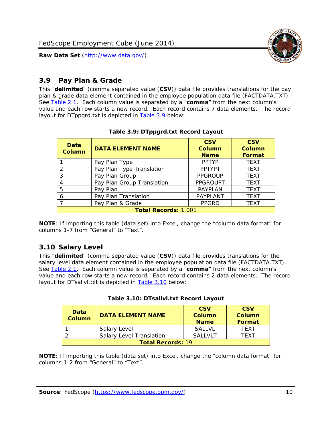

### <span id="page-10-0"></span>*3.9 Pay Plan & Grade*

<span id="page-10-4"></span>This "**delimited**" (comma separated value (**CSV**)) data file provides translations for the pay plan & grade data element contained in the employee population data file (FACTDATA.TXT). See [Table 2.1](#page-4-1). Each column value is separated by a "**comma**" from the next column's value and each row starts a new record. Each record contains 7 data elements. The record layout for DTppgrd.txt is depicted in **Table 3.9** below:

<span id="page-10-2"></span>

| Data<br><b>Column</b>       | <b>DATA ELEMENT NAME</b>   | <b>CSV</b><br>Column<br><b>Name</b> | <b>CSV</b><br><b>Column</b><br><b>Format</b> |  |
|-----------------------------|----------------------------|-------------------------------------|----------------------------------------------|--|
|                             | Pay Plan Type              | <b>PPTYP</b>                        | <b>TEXT</b>                                  |  |
| $\mathcal{P}$               | Pay Plan Type Translation  | <b>PPTYPT</b>                       | <b>TEXT</b>                                  |  |
| 3                           | Pay Plan Group             | <b>PPGROUP</b>                      | <b>TEXT</b>                                  |  |
| 4                           | Pay Plan Group Translation | <b>PPGROUPT</b>                     | <b>TEXT</b>                                  |  |
| 5                           | Pay Plan                   | <b>PAYPLAN</b>                      | <b>TEXT</b>                                  |  |
| 6                           | Pay Plan Translation       | PAYPLANT                            | <b>TEXT</b>                                  |  |
|                             | Pay Plan & Grade           | <b>PPGRD</b>                        | <b>TEXT</b>                                  |  |
| <b>Total Records: 1,001</b> |                            |                                     |                                              |  |

#### **Table 3.9: DTppgrd.txt Record Layout**

**NOTE**: If importing this table (data set) into Excel, change the "column data format" for columns 1-7 from "General" to "Text".

## <span id="page-10-1"></span>*3.10 Salary Level*

<span id="page-10-5"></span><span id="page-10-3"></span>This "**delimited**" (comma separated value (**CSV**)) data file provides translations for the salary level data element contained in the employee population data file (FACTDATA.TXT). See [Table 2.1](#page-4-1). Each column value is separated by a "**comma**" from the next column's value and each row starts a new record. Each record contains 2 data elements. The record layout for DTsallvl.txt is depicted in [Table 3.10](#page-10-5) below:

| <b>Data</b><br>Column    | <b>DATA ELEMENT NAME</b>        | <b>CSV</b><br>Column<br><b>Name</b> | <b>CSV</b><br>Column<br><b>Format</b> |
|--------------------------|---------------------------------|-------------------------------------|---------------------------------------|
|                          | Salary Level                    | <b>SALLVL</b>                       | TFXT                                  |
|                          | <b>Salary Level Translation</b> | SAI I VI T                          | TEXT                                  |
| <b>Total Records: 19</b> |                                 |                                     |                                       |

| Table 3.10: DTsallvl.txt Record Layout |  |
|----------------------------------------|--|
|----------------------------------------|--|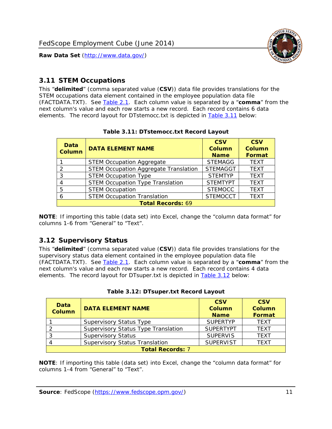

#### <span id="page-11-0"></span>*3.11 STEM Occupations*

<span id="page-11-4"></span>This "**delimited**" (comma separated value (**CSV**)) data file provides translations for the STEM occupations data element contained in the employee population data file (FACTDATA.TXT). See [Table 2.1](#page-4-1). Each column value is separated by a "**comma**" from the next column's value and each row starts a new record. Each record contains 6 data elements. The record layout for DTstemocc.txt is depicted in [Table 3.11](#page-11-4) below:

<span id="page-11-2"></span>

| <b>Data</b><br><b>Column</b> | <b>DATA ELEMENT NAME</b>                     | <b>CSV</b><br><b>Column</b><br><b>Name</b> | <b>CSV</b><br><b>Column</b><br>Format |  |
|------------------------------|----------------------------------------------|--------------------------------------------|---------------------------------------|--|
|                              | <b>STEM Occupation Aggregate</b>             | <b>STEMAGG</b>                             | <b>TEXT</b>                           |  |
|                              | <b>STEM Occupation Aggregate Translation</b> | <b>STEMAGGT</b>                            | <b>TEXT</b>                           |  |
| 3                            | <b>STEM Occupation Type</b>                  | <b>STEMTYP</b>                             | <b>TFXT</b>                           |  |
|                              | <b>STEM Occupation Type Translation</b>      | <b>STEMTYPT</b>                            | <b>TEXT</b>                           |  |
| 5                            | <b>STEM Occupation</b>                       | <b>STEMOCC</b>                             | <b>TEXT</b>                           |  |
|                              | <b>STEM Occupation Translation</b>           | <b>STEMOCCT</b>                            | <b>TEXT</b>                           |  |
| <b>Total Records: 69</b>     |                                              |                                            |                                       |  |

#### **Table 3.11: DTstemocc.txt Record Layout**

**NOTE**: If importing this table (data set) into Excel, change the "column data format" for columns 1-6 from "General" to "Text".

# <span id="page-11-1"></span>*3.12 Supervisory Status*

This "**delimited**" (comma separated value (**CSV**)) data file provides translations for the supervisory status data element contained in the employee population data file (FACTDATA.TXT). See [Table 2.1](#page-4-1). Each column value is separated by a "**comma**" from the next column's value and each row starts a new record. Each record contains 4 data elements. The record layout for DTsuper.txt is depicted in [Table 3.12](#page-11-5) below:

<span id="page-11-5"></span><span id="page-11-3"></span>

| Data<br><b>Column</b>   | <b>DATA ELEMENT NAME</b>              | <b>CSV</b><br>Column<br><b>Name</b> | <b>CSV</b><br><b>Column</b><br>Format |  |
|-------------------------|---------------------------------------|-------------------------------------|---------------------------------------|--|
|                         | <b>Supervisory Status Type</b>        | <b>SUPERTYP</b>                     | <b>TEXT</b>                           |  |
|                         | Supervisory Status Type Translation   | <b>SUPERTYPT</b>                    | <b>TEXT</b>                           |  |
|                         | <b>Supervisory Status</b>             | <b>SUPERVIS</b>                     | <b>TEXT</b>                           |  |
|                         | <b>Supervisory Status Translation</b> | <b>SUPERVIST</b>                    | <b>TEXT</b>                           |  |
| <b>Total Records: 7</b> |                                       |                                     |                                       |  |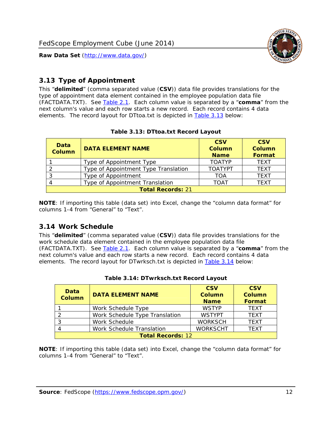

### <span id="page-12-0"></span>*3.13 Type of Appointment*

This "**delimited**" (comma separated value (**CSV**)) data file provides translations for the type of appointment data element contained in the employee population data file (FACTDATA.TXT). See [Table 2.1](#page-4-1). Each column value is separated by a "**comma**" from the next column's value and each row starts a new record. Each record contains 4 data elements. The record layout for DTtoa.txt is depicted in [Table 3.13](#page-12-4) below:

<span id="page-12-4"></span><span id="page-12-2"></span>

| Data<br><b>Column</b>    | <b>DATA ELEMENT NAME</b>             | <b>CSV</b><br><b>Column</b><br><b>Name</b> | <b>CSV</b><br><b>Column</b><br><b>Format</b> |  |
|--------------------------|--------------------------------------|--------------------------------------------|----------------------------------------------|--|
|                          | Type of Appointment Type             | <b>TOATYP</b>                              | <b>TEXT</b>                                  |  |
|                          | Type of Appointment Type Translation | <b>TOATYPT</b>                             | <b>TEXT</b>                                  |  |
|                          | Type of Appointment                  | TOA                                        | <b>TEXT</b>                                  |  |
|                          | Type of Appointment Translation      | <b>TOAT</b>                                | <b>TEXT</b>                                  |  |
| <b>Total Records: 21</b> |                                      |                                            |                                              |  |

#### **Table 3.13: DTtoa.txt Record Layout**

**NOTE**: If importing this table (data set) into Excel, change the "column data format" for columns 1-4 from "General" to "Text".

#### <span id="page-12-1"></span>*3.14 Work Schedule*

<span id="page-12-5"></span>This "**delimited**" (comma separated value (**CSV**)) data file provides translations for the work schedule data element contained in the employee population data file (FACTDATA.TXT). See [Table 2.1](#page-4-1). Each column value is separated by a "**comma**" from the next column's value and each row starts a new record. Each record contains 4 data elements. The record layout for DTwrksch.txt is depicted in [Table 3.14](#page-12-5) below:

<span id="page-12-3"></span>

| Data<br>Column           | <b>DATA ELEMENT NAME</b>       | <b>CSV</b><br>Column<br><b>Name</b> | <b>CSV</b><br><b>Column</b><br>Format |  |
|--------------------------|--------------------------------|-------------------------------------|---------------------------------------|--|
|                          | Work Schedule Type             | <b>WSTYP</b>                        | <b>TEXT</b>                           |  |
| 2                        | Work Schedule Type Translation | <b>WSTYPT</b>                       | <b>TFXT</b>                           |  |
| 3                        | Work Schedule                  | <b>WORKSCH</b>                      | <b>TFXT</b>                           |  |
|                          | Work Schedule Translation      | <b>WORKSCHT</b>                     | <b>TFXT</b>                           |  |
| <b>Total Records: 12</b> |                                |                                     |                                       |  |

|  | Table 3.14: DTwrksch.txt Record Layout |  |
|--|----------------------------------------|--|
|  |                                        |  |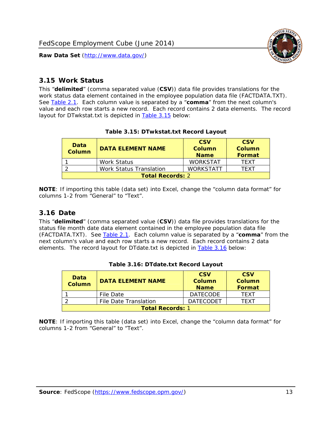

#### <span id="page-13-0"></span>*3.15 Work Status*

<span id="page-13-4"></span><span id="page-13-2"></span>This "**delimited**" (comma separated value (**CSV**)) data file provides translations for the work status data element contained in the employee population data file (FACTDATA.TXT). See [Table 2.1](#page-4-1). Each column value is separated by a "**comma**" from the next column's value and each row starts a new record. Each record contains 2 data elements. The record layout for DTwkstat.txt is depicted in [Table 3.15](#page-13-4) below:

| Data<br><b>Column</b>   | <b>DATA ELEMENT NAME</b> | <b>CSV</b><br>Column<br><b>Name</b> | <b>CSV</b><br>Column<br><b>Format</b> |
|-------------------------|--------------------------|-------------------------------------|---------------------------------------|
|                         | Work Status              | <b>WORKSTAT</b>                     | TFXT                                  |
|                         | Work Status Translation  | <b>WORKSTATT</b>                    | TFXT                                  |
| <b>Total Records: 2</b> |                          |                                     |                                       |

#### **Table 3.15: DTwkstat.txt Record Layout**

**NOTE**: If importing this table (data set) into Excel, change the "column data format" for columns 1-2 from "General" to "Text".

#### <span id="page-13-1"></span>*3.16 Date*

<span id="page-13-5"></span><span id="page-13-3"></span>This "**delimited**" (comma separated value (**CSV**)) data file provides translations for the status file month date data element contained in the employee population data file (FACTDATA.TXT). See [Table 2.1](#page-4-1). Each column value is separated by a "**comma**" from the next column's value and each row starts a new record. Each record contains 2 data elements. The record layout for DTdate.txt is depicted in [Table 3.16](#page-13-5) below:

| Data<br><b>Column</b>   | <b>DATA ELEMENT NAME</b> | <b>CSV</b><br>Column<br><b>Name</b> | <b>CSV</b><br>Column<br><b>Format</b> |
|-------------------------|--------------------------|-------------------------------------|---------------------------------------|
|                         | File Date                | <b>DATECODE</b>                     | TFXT                                  |
|                         | File Date Translation    | <b>DATECODET</b>                    | TFXT                                  |
| <b>Total Records: 1</b> |                          |                                     |                                       |

**Table 3.16: DTdate.txt Record Layout**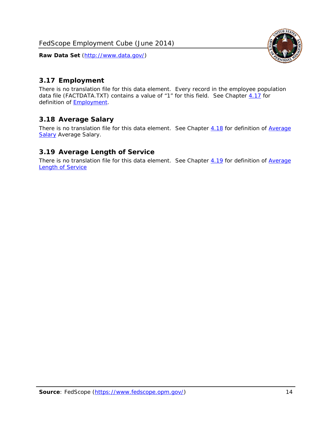<span id="page-14-0"></span>

There is no translation file for this data element. Every record in the employee population data file (FACTDATA.TXT) contains a value of "1" for this field. See Chapter  $4.17$  for definition of **Employment**.

#### <span id="page-14-1"></span>*3.18 Average Salary*

There is no translation file for this data element. See Chapter [4.18](#page-17-1) for definition of [Average](#page-17-1) **[Salary](#page-17-1) [Average Salary.](#page-17-1)** 

#### <span id="page-14-2"></span>*3.19 Average Length of Service*

There is no translation file for this data element. See Chapter [4.19](#page-17-2) for definition of [Average](#page-17-2) Length of Service

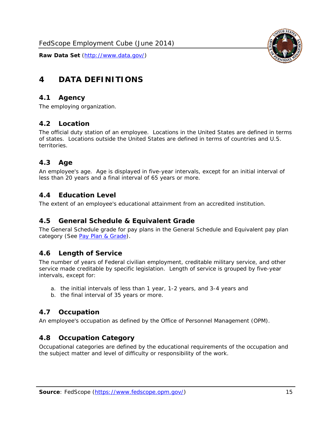

# <span id="page-15-0"></span>**4 DATA DEFINITIONS**

#### <span id="page-15-1"></span>*4.1 Agency*

The employing organization.

## <span id="page-15-2"></span>*4.2 Location*

The official duty station of an employee. Locations in the United States are defined in terms of states. Locations outside the United States are defined in terms of countries and U.S. territories.

#### <span id="page-15-3"></span>*4.3 Age*

An employee's age. Age is displayed in five-year intervals, except for an initial interval of less than 20 years and a final interval of 65 years or more.

#### <span id="page-15-4"></span>*4.4 Education Level*

The extent of an employee's educational attainment from an accredited institution.

#### <span id="page-15-5"></span>*4.5 General Schedule & Equivalent Grade*

The General Schedule grade for pay plans in the General Schedule and Equivalent pay plan category (See [Pay Plan & Grade](#page-16-0)).

#### <span id="page-15-6"></span>*4.6 Length of Service*

The number of years of Federal civilian employment, creditable military service, and other service made creditable by specific legislation. Length of service is grouped by five-year intervals, except for:

- a. the initial intervals of less than 1 year, 1-2 years, and 3-4 years and
- b. the final interval of 35 years or more.

## <span id="page-15-7"></span>*4.7 Occupation*

An employee's occupation as defined by the Office of Personnel Management (OPM).

## <span id="page-15-8"></span>*4.8 Occupation Category*

Occupational categories are defined by the educational requirements of the occupation and the subject matter and level of difficulty or responsibility of the work.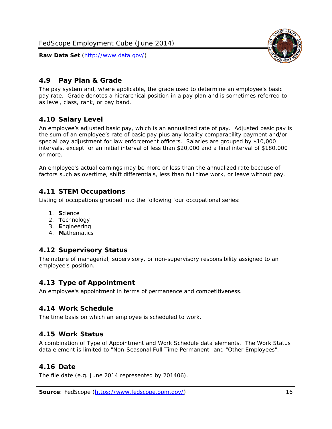

### <span id="page-16-0"></span>*4.9 Pay Plan & Grade*

The pay system and, where applicable, the grade used to determine an employee's basic pay rate. Grade denotes a hierarchical position in a pay plan and is sometimes referred to as level, class, rank, or pay band.

## <span id="page-16-1"></span>*4.10 Salary Level*

An employee's adjusted basic pay, which is an annualized rate of pay. Adjusted basic pay is the sum of an employee's rate of basic pay plus any locality comparability payment and/or special pay adjustment for law enforcement officers. Salaries are grouped by \$10,000 intervals, except for an initial interval of less than \$20,000 and a final interval of \$180,000 or more.

An employee's actual earnings may be more or less than the annualized rate because of factors such as overtime, shift differentials, less than full time work, or leave without pay.

#### <span id="page-16-2"></span>*4.11 STEM Occupations*

Listing of occupations grouped into the following four occupational series:

- 1. **S**cience
- 2. **T**echnology
- 3. **E**ngineering
- 4. **M**athematics

#### <span id="page-16-3"></span>*4.12 Supervisory Status*

The nature of managerial, supervisory, or non-supervisory responsibility assigned to an employee's position.

#### <span id="page-16-4"></span>*4.13 Type of Appointment*

An employee's appointment in terms of permanence and competitiveness.

#### <span id="page-16-5"></span>*4.14 Work Schedule*

The time basis on which an employee is scheduled to work.

#### <span id="page-16-6"></span>*4.15 Work Status*

A combination of Type of Appointment and Work Schedule data elements. The Work Status data element is limited to "Non-Seasonal Full Time Permanent" and "Other Employees".

#### <span id="page-16-7"></span>*4.16 Date*

<span id="page-16-8"></span>The file date (e.g. June 2014 represented by 201406).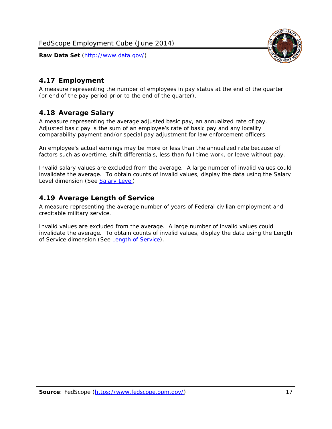

## <span id="page-17-0"></span>*4.17 Employment*

A measure representing the number of employees in pay status at the end of the quarter (or end of the pay period prior to the end of the quarter).

#### <span id="page-17-1"></span>*4.18 Average Salary*

A measure representing the average adjusted basic pay, an annualized rate of pay. Adjusted basic pay is the sum of an employee's rate of basic pay and any locality comparability payment and/or special pay adjustment for law enforcement officers.

An employee's actual earnings may be more or less than the annualized rate because of factors such as overtime, shift differentials, less than full time work, or leave without pay.

Invalid salary values are excluded from the average. A large number of invalid values could invalidate the average. To obtain counts of invalid values, display the data using the Salary Level dimension (See [Salary Level\)](#page-16-1).

#### <span id="page-17-2"></span>*4.19 Average Length of Service*

A measure representing the average number of years of Federal civilian employment and creditable military service.

Invalid values are excluded from the average. A large number of invalid values could invalidate the average. To obtain counts of invalid values, display the data using the Length of Service dimension (See [Length of Service](#page-15-6)).